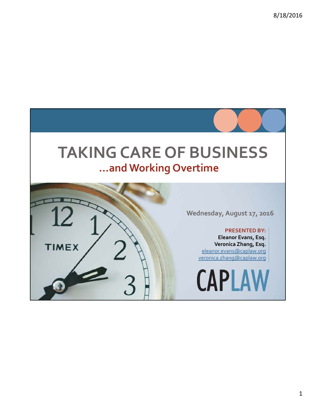### **TAKINGCARE OF BUSINESS …and Working Overtime**



**Wednesday, August 17, 2016**

#### **PRESENTED BY:**

**Eleanor Evans, Esq. Veronica Zhang, Esq.** eleanor.evans@caplaw.org veronica.zhang@caplaw.org

**CAPLAW**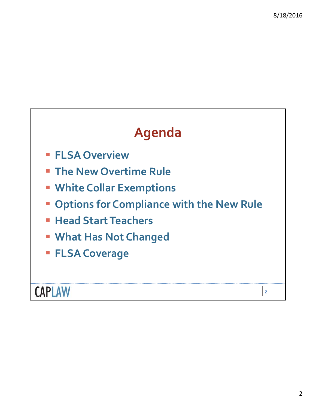### **Agenda**

- **FLSA Overview**
- **The New Overtime Rule**
- **White Collar Exemptions**
- **Options for Compliance with the New Rule**
- **Head Start Teachers**
- **What Has Not Changed**
- **FLSA Coverage**

**CAPLAW**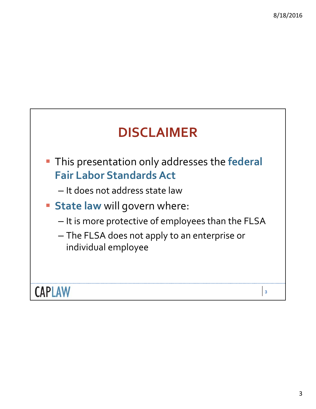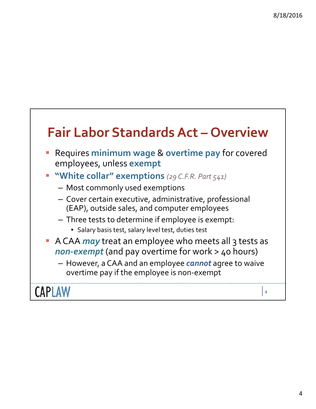### **Fair Labor StandardsAct – Overview**

- Requires **minimum wage** & **overtime pay** for covered employees, unless **exempt**
- **"White collar" exemptions** *(29 C.F.R. Part 541)*
	- Most commonly used exemptions
	- Cover certain executive, administrative, professional (EAP), outside sales, and computer employees
	- Three tests to determine if employee is exempt:
		- Salary basis test, salary level test, duties test
- **A CAA** *may* treat an employee who meets all 3 tests as *non‐exempt* (and pay overtime for work > 40 hours)
	- However, a CAA and an employee *cannot* agree to waive overtime pay if the employee is non‐exempt

**CAPLAW**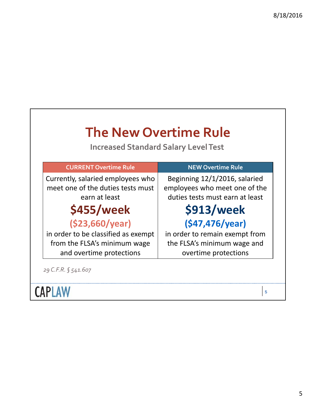| <b>Increased Standard Salary Level Test</b>                                             |                                                                                                   |  |  |  |
|-----------------------------------------------------------------------------------------|---------------------------------------------------------------------------------------------------|--|--|--|
| <b>CURRENT Overtime Rule</b>                                                            | <b>NEW Overtime Rule</b>                                                                          |  |  |  |
| Currently, salaried employees who<br>meet one of the duties tests must<br>earn at least | Beginning 12/1/2016, salaried<br>employees who meet one of the<br>duties tests must earn at least |  |  |  |
| \$455/week                                                                              | \$913/week                                                                                        |  |  |  |
| (\$23,660/year)                                                                         | (547, 476/year)                                                                                   |  |  |  |
| in order to be classified as exempt                                                     | in order to remain exempt from                                                                    |  |  |  |
| from the FLSA's minimum wage<br>and overtime protections                                | the FLSA's minimum wage and<br>overtime protections                                               |  |  |  |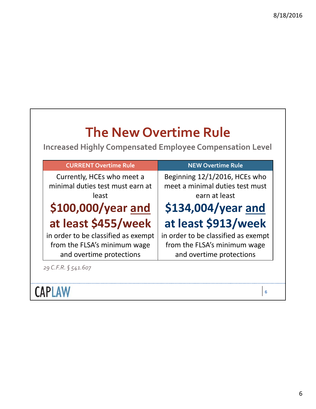| <b>The New Overtime Rule</b><br><b>Increased Highly Compensated Employee Compensation Level</b> |                                                                                                 |
|-------------------------------------------------------------------------------------------------|-------------------------------------------------------------------------------------------------|
| <b>CURRENT Overtime Rule</b>                                                                    | <b>NEW Overtime Rule</b>                                                                        |
| Currently, HCEs who meet a<br>minimal duties test must earn at<br>least                         | Beginning 12/1/2016, HCEs who<br>meet a minimal duties test must<br>earn at least               |
| \$100,000/year and                                                                              | \$134,004/year and                                                                              |
| at least \$455/week                                                                             | at least \$913/week                                                                             |
| in order to be classified as exempt<br>from the FLSA's minimum wage<br>and overtime protections | in order to be classified as exempt<br>from the FLSA's minimum wage<br>and overtime protections |
| 29 C.F.R. § 541.607                                                                             |                                                                                                 |
|                                                                                                 | 6                                                                                               |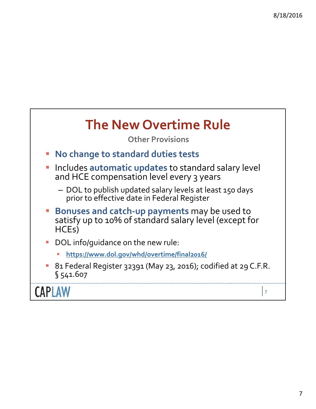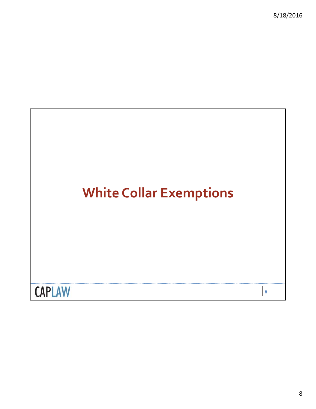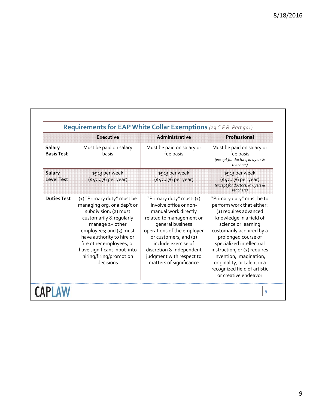|                                    | <b>Executive</b>                                                                                                                                                                                                                                                                            | Administrative                                                                                                                                                                                                                                                                              | Professional<br>Must be paid on salary or<br>fee basis<br>(except for doctors, lawyers &<br>teachers)                                                                                                                                                                                                                                                               |  |  |
|------------------------------------|---------------------------------------------------------------------------------------------------------------------------------------------------------------------------------------------------------------------------------------------------------------------------------------------|---------------------------------------------------------------------------------------------------------------------------------------------------------------------------------------------------------------------------------------------------------------------------------------------|---------------------------------------------------------------------------------------------------------------------------------------------------------------------------------------------------------------------------------------------------------------------------------------------------------------------------------------------------------------------|--|--|
| Salary<br><b>Basis Test</b>        | Must be paid on salary<br>basis                                                                                                                                                                                                                                                             | Must be paid on salary or<br>fee basis                                                                                                                                                                                                                                                      |                                                                                                                                                                                                                                                                                                                                                                     |  |  |
| <b>Salary</b><br><b>Level Test</b> | \$913 per week<br>(\$47,476 per year)                                                                                                                                                                                                                                                       | \$913 per week<br>(\$47,476 per year)                                                                                                                                                                                                                                                       | \$913 per week<br>(\$47,476 per year)<br>(except for doctors, lawyers &<br>teachers)                                                                                                                                                                                                                                                                                |  |  |
| <b>Duties Test</b>                 | (1) "Primary duty" must be<br>managing org. or a dep't or<br>subdivision; (2) must<br>customarily & regularly<br>manage 2+ other<br>employees; and (3) must<br>have authority to hire or<br>fire other employees, or<br>have significant input into<br>hiring/firing/promotion<br>decisions | "Primary duty" must: (1)<br>involve office or non-<br>manual work directly<br>related to management or<br>general business<br>operations of the employer<br>or customers; and (2)<br>include exercise of<br>discretion & independent<br>judgment with respect to<br>matters of significance | "Primary duty" must be to<br>perform work that either:<br>(1) requires advanced<br>knowledge in a field of<br>science or learning<br>customarily acquired by a<br>prolonged course of<br>specialized intellectual<br>instruction; or (2) requires<br>invention, imagination,<br>originality, or talent in a<br>recognized field of artistic<br>or creative endeavor |  |  |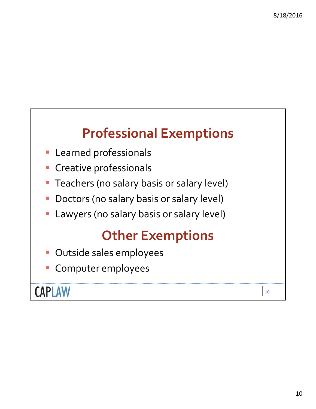### **Professional Exemptions**

- **Learned professionals**
- **Creative professionals**
- **Teachers (no salary basis or salary level)**
- Doctors (no salary basis or salary level)
- Lawyers (no salary basis or salary level)

### **Other Exemptions**

- **Dutside sales employees**
- Computer employees

**CAPLAW**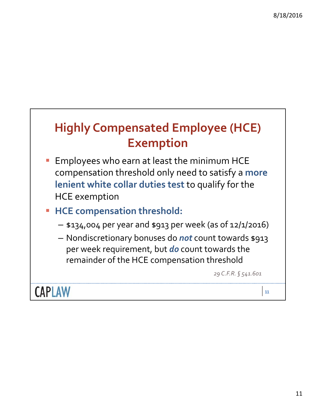### **Highly Compensated Employee (HCE) Exemption**

- Employees who earn at least the minimum HCE compensation threshold only need to satisfy a **more lenient white collar duties test** to qualify for the HCE exemption
- **HCE compensation threshold:**
	- \$134,004 per year and \$913 per week (as of 12/1/2016)
	- Nondiscretionary bonuses do *not* count towards \$913 per week requirement, but *do* count towards the remainder of the HCE compensation threshold

*29 C.F.R. § 541.601*

**CAPLAW**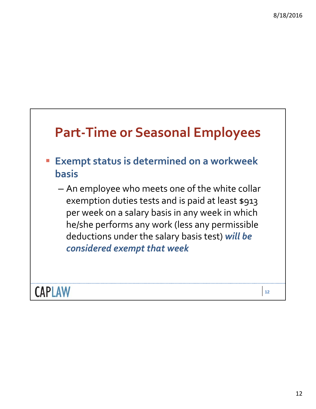# **Part‐Time or Seasonal Employees Exempt status is determined on a workweek basis** – An employee who meets one of the white collar exemption duties tests and is paid at least \$913 per week on a salary basis in any week in which he/she performs any work (less any permissible deductions under the salary basis test) *will be considered exempt that week*

**CAPLAW**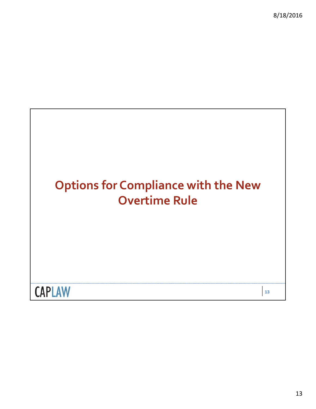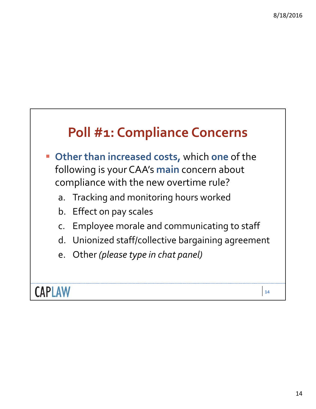### **Poll #1: Compliance Concerns**

- **Other than increased costs,** which **one** of the following is your CAA's **main** concern about compliance with the new overtime rule?
	- a. Tracking and monitoring hours worked
	- b. Effect on pay scales
	- c. Employee morale and communicating to staff
	- d. Unionized staff/collective bargaining agreement
	- e. Other *(please type in chat panel)*

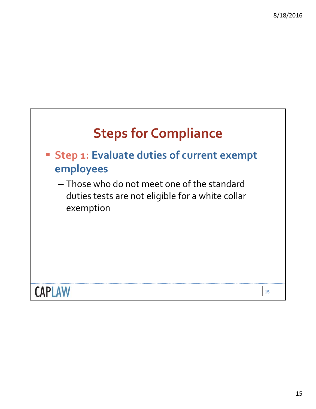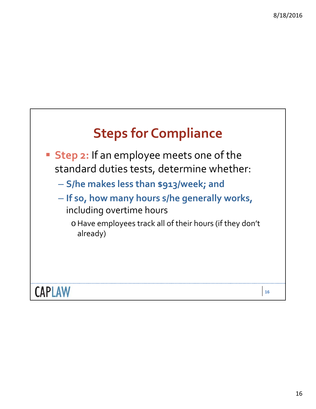

- **Step 2:** If an employee meets one of the standard duties tests, determine whether:
	- **S/he makes less than \$913/week; and**
	- **If so, how many hours s/he generally works,** including overtime hours
		- oHave employees track all of their hours (if they don't already)

**CAPLAW**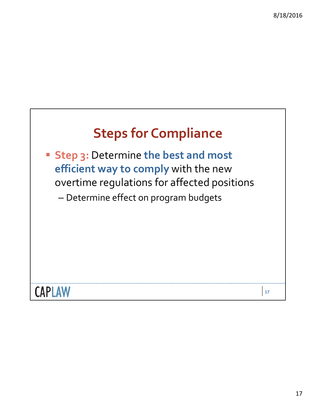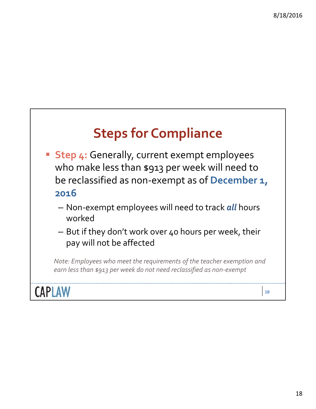## **Steps for Compliance**

- **Step 4:** Generally, current exempt employees who make less than \$913 per week will need to be reclassified as non‐exempt as of **December 1, 2016**
	- Non‐exempt employees will need to track *all* hours worked
	- But if they don't work over 40 hours per week, their pay will not be affected

*Note: Employees who meet the requirements of the teacher exemption and earn less than \$913 per week do not need reclassified as non‐exempt*

**CAPLAW**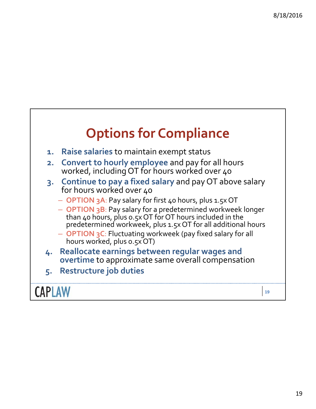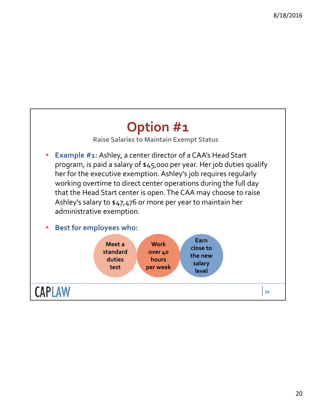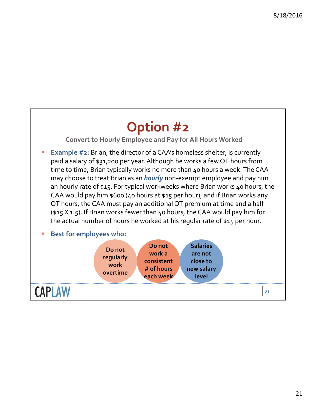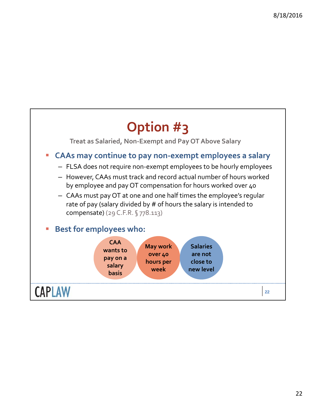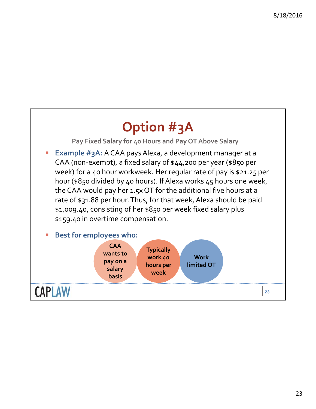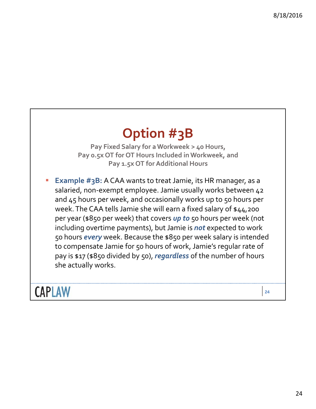### **Option #3B**

**Pay Fixed Salary for a Workweek > 40 Hours, Pay 0.5x OT for OT Hours Included in Workweek, and Pay 1.5x OT for Additional Hours**

 **Example #3B:** A CAA wants to treat Jamie, its HR manager, as a salaried, non-exempt employee. Jamie usually works between 42 and 45 hours per week, and occasionally works up to 50 hours per week. The CAA tells Jamie she will earn a fixed salary of \$44,200 per year (\$850 per week) that covers *up to* 50 hours per week (not including overtime payments), but Jamie is **not** expected to work 50 hours *every* week. Because the \$850 per week salary is intended to compensate Jamie for 50 hours of work, Jamie's regular rate of pay is \$17 (\$850 divided by 50), *regardless* of the number of hours she actually works.

**CAPLAW**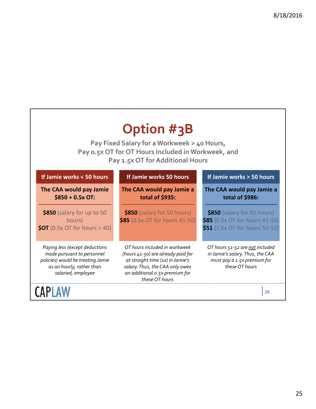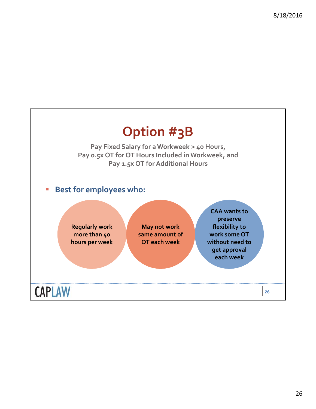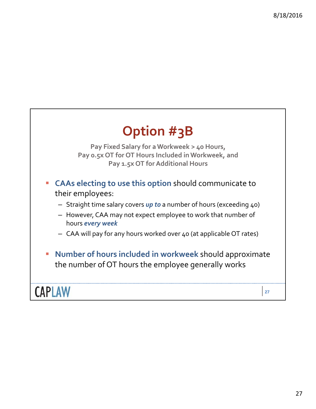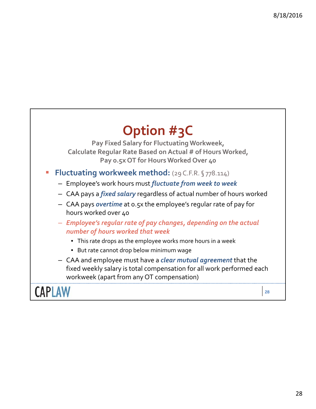

- Employee's work hours must *fluctuate from week to week*
- CAA pays a *fixed salary* regardless of actual number of hours worked
- CAA pays *overtime* at 0.5x the employee's regular rate of pay for hours worked over 40
- *Employee's regular rate of pay changes, depending on the actual number of hours worked that week*
	- This rate drops as the employee works more hours in a week
	- But rate cannot drop below minimum wage
- CAA and employee must have a *clear mutual agreement* that the fixed weekly salary is total compensation for all work performed each workweek (apart from any OT compensation)

**CAPLAW**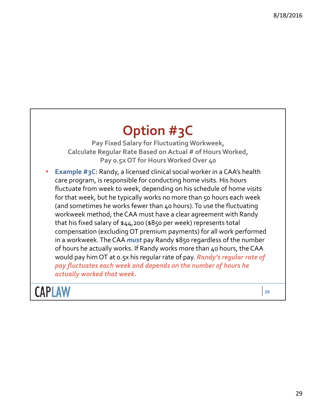### **Option #3C**

**Pay Fixed Salary for Fluctuating Workweek, Calculate Regular Rate Based on Actual # of Hours Worked, Pay 0.5x OT for Hours Worked Over 40**

 **Example #3C:** Randy, a licensed clinical social worker in a CAA's health care program, is responsible for conducting home visits. His hours fluctuate from week to week, depending on his schedule of home visits for that week, but he typically works no more than 50 hours each week (and sometimes he works fewer than 40 hours).To use the fluctuating workweek method, the CAA must have a clear agreement with Randy that his fixed salary of \$44,200 (\$850 per week) represents total compensation (excluding OT premium payments) for all work performed in a workweek. The CAA *must* pay Randy \$850 regardless of the number of hours he actually works. If Randy works more than 40 hours, the CAA would pay him OT at 0.5x his regular rate of pay. *Randy's regular rate of pay fluctuates each week and depends on the number of hours he actually worked that week.*

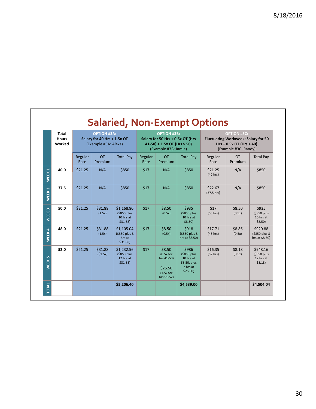|                   | <b>Total</b><br><b>Hours</b><br>Worked | <b>OPTION #3A:</b><br>Salary for 40 Hrs + 1.5x OT<br>(Example #3A: Alexa) |                      | <b>OPTION #3B:</b><br>Salary for 50 Hrs + 0.5x OT (Hrs<br>$41-50$ ) + 1.5x OT (Hrs > 50)<br>(Example #3B: Jamie) |                 | OPTION #3C:<br><b>Fluctuating Workweek: Salary for 50</b><br>$Hrs + 0.5x$ OT (Hrs > 40)<br>(Example #3C: Randy) |                                                                             |                       |                      |                                                   |
|-------------------|----------------------------------------|---------------------------------------------------------------------------|----------------------|------------------------------------------------------------------------------------------------------------------|-----------------|-----------------------------------------------------------------------------------------------------------------|-----------------------------------------------------------------------------|-----------------------|----------------------|---------------------------------------------------|
|                   |                                        | Regular<br>Rate                                                           | <b>OT</b><br>Premium | <b>Total Pay</b>                                                                                                 | Regular<br>Rate | <b>OT</b><br>Premium                                                                                            | <b>Total Pay</b>                                                            | Regular<br>Rate       | <b>OT</b><br>Premium | <b>Total Pay</b>                                  |
| WEEK <sub>1</sub> | 40.0                                   | \$21.25                                                                   | N/A                  | \$850                                                                                                            | \$17            | N/A                                                                                                             | \$850                                                                       | \$21.25<br>(40 hrs)   | N/A                  | \$850                                             |
| WEEK <sub>2</sub> | 37.5                                   | \$21.25                                                                   | N/A                  | \$850                                                                                                            | \$17            | N/A                                                                                                             | \$850                                                                       | \$22.67<br>(37.5 hrs) | N/A                  | \$850                                             |
| WEEK <sub>3</sub> | 50.0                                   | \$21.25                                                                   | \$31.88<br>(1.5x)    | \$1,168.80<br>(\$850 plus<br>10 hrs at<br>$$31.88$ )                                                             | \$17            | \$8.50<br>(0.5x)                                                                                                | \$935<br>(\$850 plus<br>10 hrs at<br>$$8.50$ )                              | \$17<br>(50 hrs)      | \$8.50<br>(0.5x)     | \$935<br>(\$850 plus<br>10 hrs at<br>$$8.50$ )    |
| WEEK4             | 48.0                                   | \$21.25                                                                   | \$31.88<br>(1.5x)    | \$1,105.04<br>(\$850 plus 8<br>hrs at<br>$$31.88$ )                                                              | \$17            | \$8.50<br>(0.5x)                                                                                                | <b>\$918</b><br>(\$850 plus 8)<br>hrs at \$8.50)                            | \$17.71<br>(48 hrs)   | \$8.86<br>(0.5x)     | \$920.88<br>(\$850 plus 8<br>hrs at \$8.50)       |
| WEEK <sub>5</sub> | 52.0                                   | \$21.25                                                                   | \$31.88<br>(51.5x)   | \$1,232.56<br>(\$850 plus<br>12 hrs at<br>$$31.88$ )                                                             | \$17            | \$8.50<br>$(0.5x$ for<br>hrs 41-50)<br>\$25.50<br>$(1.5x$ for<br>hrs 51-52)                                     | \$986<br>(\$850 plus<br>10 hrs at<br>\$8.50, plus<br>2 hrs at<br>$$25.50$ ) | \$16.35<br>(52 hrs)   | \$8.18<br>(0.5x)     | \$948.16<br>(\$850 plus<br>12 hrs at<br>$$8.18$ ) |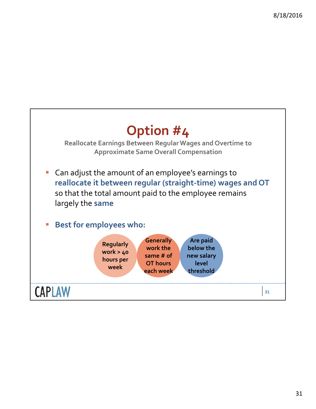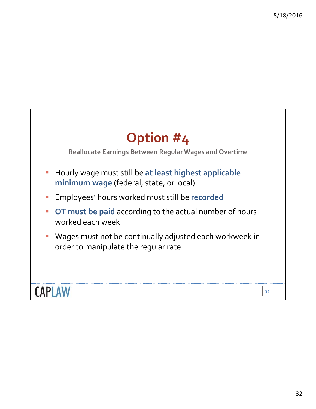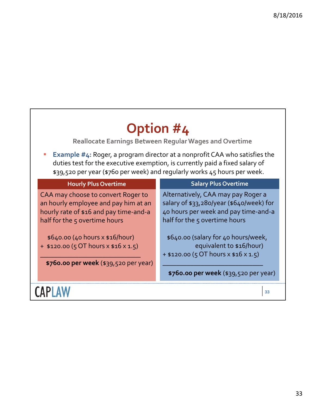٦

| Option #4<br>Reallocate Earnings Between Regular Wages and Overtime                                                                                                                                                                            |                                                                                                                                                         |  |  |  |  |
|------------------------------------------------------------------------------------------------------------------------------------------------------------------------------------------------------------------------------------------------|---------------------------------------------------------------------------------------------------------------------------------------------------------|--|--|--|--|
| <b>Example #4: Roger, a program director at a nonprofit CAA who satisfies the</b><br>duties test for the executive exemption, is currently paid a fixed salary of<br>\$39,520 per year (\$760 per week) and regularly works 45 hours per week. |                                                                                                                                                         |  |  |  |  |
| <b>Hourly Plus Overtime</b>                                                                                                                                                                                                                    | <b>Salary Plus Overtime</b>                                                                                                                             |  |  |  |  |
| CAA may choose to convert Roger to<br>an hourly employee and pay him at an<br>hourly rate of \$16 and pay time-and-a<br>half for the 5 overtime hours                                                                                          | Alternatively, CAA may pay Roger a<br>salary of \$33,280/year (\$640/week) for<br>40 hours per week and pay time-and-a<br>half for the 5 overtime hours |  |  |  |  |
| $$640.00 (40 hours \times $16/hour)$<br>$+$ \$120.00 (5 OT hours x \$16 x 1.5)<br>\$760.00 per week (\$39,520 per year)                                                                                                                        | \$640.00 (salary for 40 hours/week,<br>equivalent to \$16/hour)<br>$+$ \$120.00 (5 OT hours x \$16 x 1.5)                                               |  |  |  |  |
|                                                                                                                                                                                                                                                | \$760.00 per week (\$39,520 per year)                                                                                                                   |  |  |  |  |
|                                                                                                                                                                                                                                                | 33                                                                                                                                                      |  |  |  |  |

 $\mathbf{r}$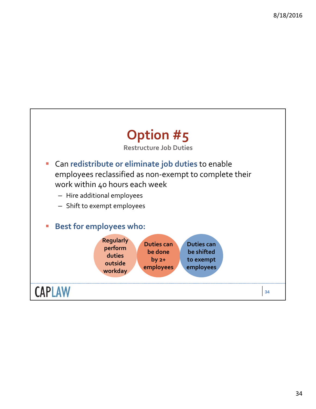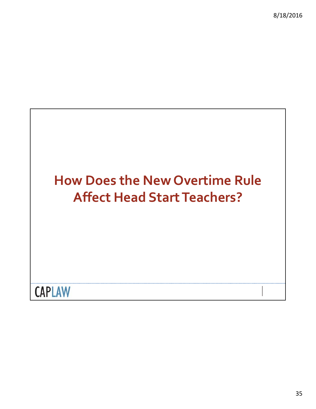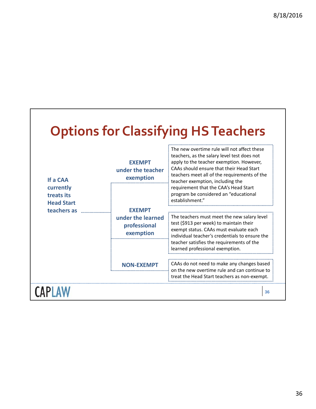# **Options for Classifying HSTeachers**

| If a CAA<br>currently           | <b>EXEMPT</b><br>under the teacher<br>exemption                 | The new overtime rule will not affect these<br>teachers, as the salary level test does not<br>apply to the teacher exemption. However,<br>CAAs should ensure that their Head Start<br>teachers meet all of the requirements of the<br>teacher exemption, including the<br>requirement that the CAA's Head Start<br>program be considered an "educational<br>establishment."<br>The teachers must meet the new salary level<br>test (\$913 per week) to maintain their<br>exempt status. CAAs must evaluate each<br>individual teacher's credentials to ensure the<br>teacher satisfies the requirements of the<br>learned professional exemption.<br>CAAs do not need to make any changes based<br>on the new overtime rule and can continue to<br>treat the Head Start teachers as non-exempt. |  |  |
|---------------------------------|-----------------------------------------------------------------|-------------------------------------------------------------------------------------------------------------------------------------------------------------------------------------------------------------------------------------------------------------------------------------------------------------------------------------------------------------------------------------------------------------------------------------------------------------------------------------------------------------------------------------------------------------------------------------------------------------------------------------------------------------------------------------------------------------------------------------------------------------------------------------------------|--|--|
| treats its<br><b>Head Start</b> |                                                                 |                                                                                                                                                                                                                                                                                                                                                                                                                                                                                                                                                                                                                                                                                                                                                                                                 |  |  |
| teachers as                     | <b>EXEMPT</b><br>under the learned<br>professional<br>exemption |                                                                                                                                                                                                                                                                                                                                                                                                                                                                                                                                                                                                                                                                                                                                                                                                 |  |  |
|                                 |                                                                 |                                                                                                                                                                                                                                                                                                                                                                                                                                                                                                                                                                                                                                                                                                                                                                                                 |  |  |
|                                 | NON-FXFMP                                                       |                                                                                                                                                                                                                                                                                                                                                                                                                                                                                                                                                                                                                                                                                                                                                                                                 |  |  |
|                                 |                                                                 | 36                                                                                                                                                                                                                                                                                                                                                                                                                                                                                                                                                                                                                                                                                                                                                                                              |  |  |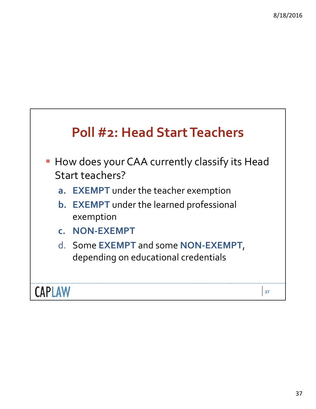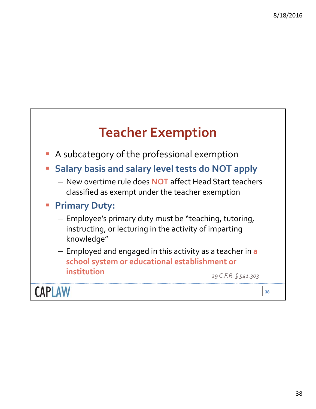## **Teacher Exemption**

- **A** subcategory of the professional exemption
- **Salary basis and salary level tests do NOT apply**
	- New overtime rule does **NOT** affect Head Start teachers classified as exempt under the teacher exemption
- **Primary Duty:**
	- Employee's primary duty must be "teaching, tutoring, instructing, or lecturing in the activity of imparting knowledge"
	- Employed and engaged in this activity as a teacher in **a school system or educational establishment or institution**

*29 C.F.R. § 541.303*

**CAPLAW**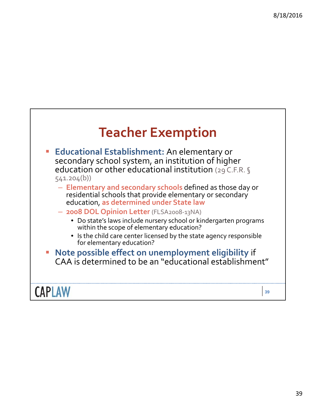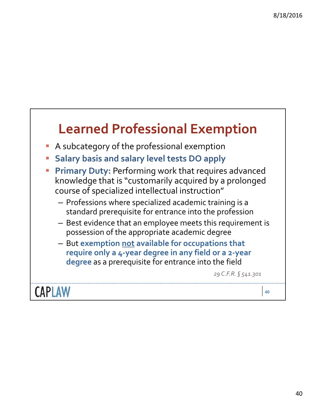### **Learned Professional Exemption**

- A subcategory of the professional exemption
- **Salary basis and salary level tests DO apply**
- **Primary Duty: Performing work that requires advanced** knowledge that is "customarily acquired by a prolonged course of specialized intellectual instruction"
	- Professions where specialized academic training is a standard prerequisite for entrance into the profession
	- Best evidence that an employee meets this requirement is possession of the appropriate academic degree
	- But **exemption not available for occupations that require only a 4‐year degree in any field or a 2‐year degree** as a prerequisite for entrance into the field

*29 C.F.R. § 541.301*

**CAPLAW**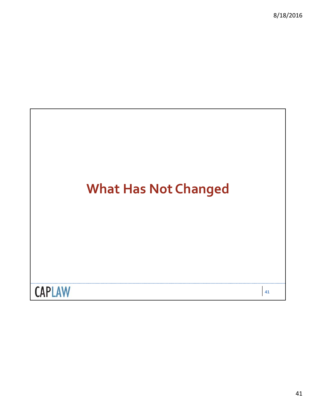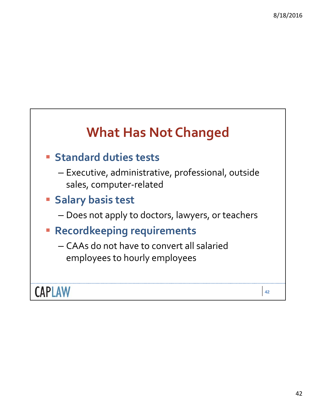### **What Has Not Changed**

### **Standard duties tests**

- Executive, administrative, professional, outside sales, computer‐related
- **Salary basis test**
	- Does not apply to doctors, lawyers, or teachers
- **Recordkeeping requirements**
	- CAAs do not have to convert all salaried employees to hourly employees

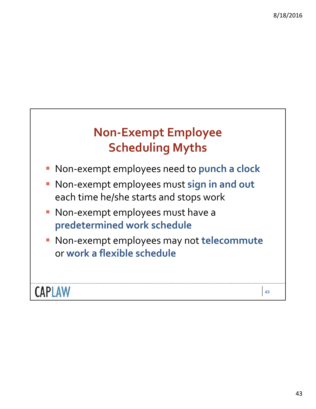### **Non‐Exempt Employee Scheduling Myths**

- Non‐exempt employees need to **punch a clock**
- Non‐exempt employees must **sign in and out** each time he/she starts and stops work
- Non-exempt employees must have a **predetermined work schedule**
- Non‐exempt employees may not **telecommute** or **work a flexible schedule**

### **CAPLAW**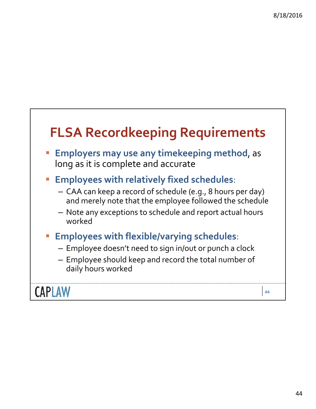### **FLSA Recordkeeping Requirements**

- **Employers may use any timekeeping method**, as long as it is complete and accurate
- **Employees with relatively fixed schedules**:
	- CAA can keep a record of schedule (e.g., 8 hours per day) and merely note that the employee followed the schedule
	- Note any exceptions to schedule and report actual hours worked
- **Employees with flexible/varying schedules**:
	- Employee doesn't need to sign in/out or punch a clock
	- Employee should keep and record the total number of daily hours worked

**CAPLAW**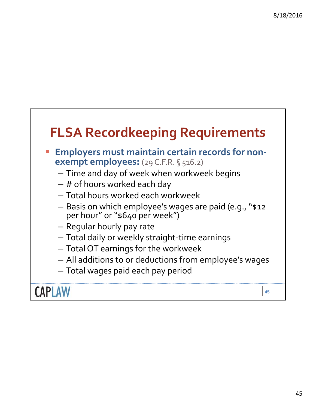### **FLSA Recordkeeping Requirements**

- **Employers must maintain certain records for non‐ exempt employees:** (29 C.F.R. § 516.2)
	- Time and day of week when workweek begins
	- # of hours worked each day
	- Total hours worked each workweek
	- Basis on which employee's wages are paid (e.g., "\$12 per hour" or "\$640 per week")
	- Regular hourly pay rate
	- Total daily or weekly straight‐time earnings
	- Total OT earnings for the workweek
	- All additions to or deductions from employee's wages
	- Total wages paid each pay period

**CAPLAW**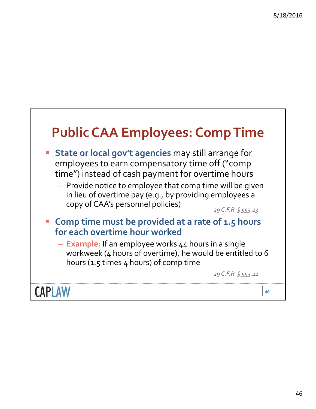# **Public CAA Employees: CompTime**

- **State or local gov't agencies** may still arrange for employees to earn compensatory time off ("comp time") instead of cash payment for overtime hours
	- Provide notice to employee that comp time will be given in lieu of overtime pay (e.g., by providing employees a copy of CAA's personnel policies)

*29 C.F.R. § 553.23*

- **Comp time must be provided at a rate of 1.5 hours for each overtime hour worked**
	- **Example:** If an employee works 44 hours in a single workweek (4 hours of overtime), he would be entitled to 6 hours (1.5 times 4 hours) of comp time

*29 C.F.R. § 553.22*

**CAPLAW**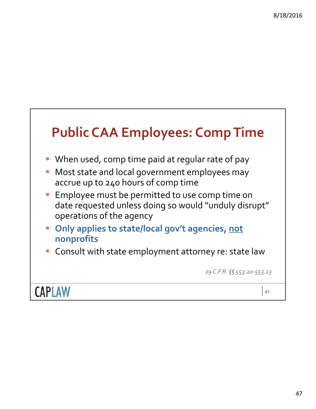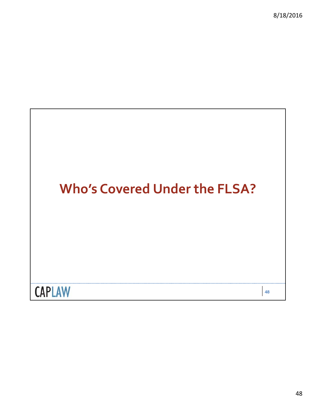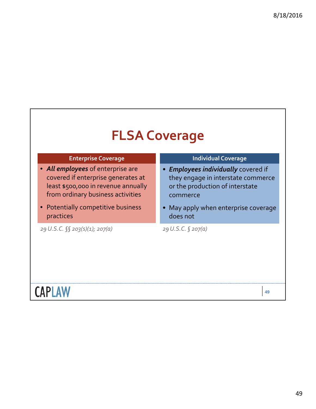### **FLSA Coverage**

### **Enterprise Coverage**

- *All employees* of enterprise are covered if enterprise generates at least \$500,000 in revenue annually from ordinary business activities
- Potentially competitive business practices

*29 U.S.C. §§ 203(s)(1); 207(a) 29 U.S.C. § 207(a)*

#### **Individual Coverage**

- *Employees individually* covered if they engage in interstate commerce or the production of interstate commerce
- May apply when enterprise coverage does not

## **CAPLAW**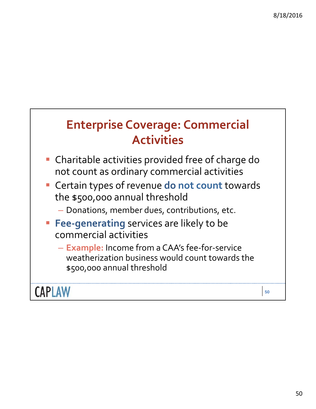### **Enterprise Coverage: Commercial Activities**

- Charitable activities provided free of charge do not count as ordinary commercial activities
- Certain types of revenue **do not count** towards the \$500,000 annual threshold
	- Donations, member dues, contributions, etc.
- **Fee-generating** services are likely to be commercial activities
	- **Example:** Income from a CAA's fee‐for‐service weatherization business would count towards the \$500,000 annual threshold

**CAPLAW**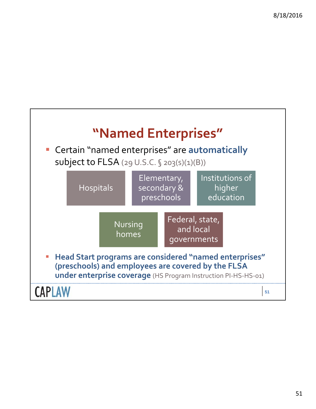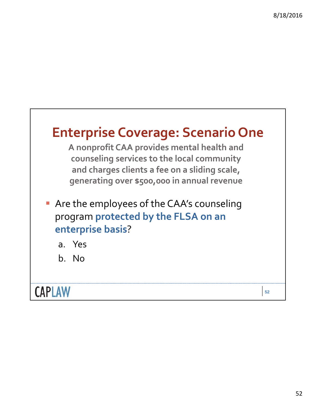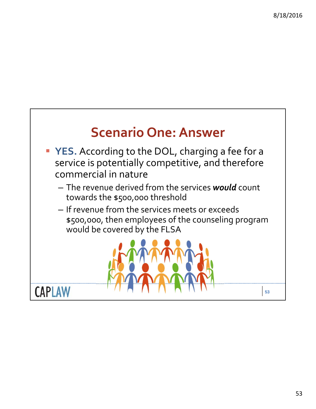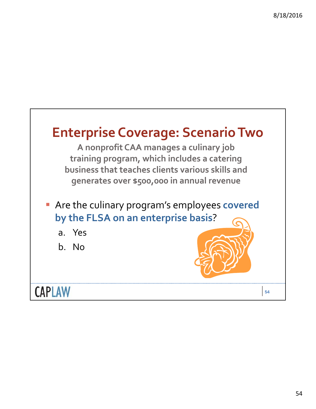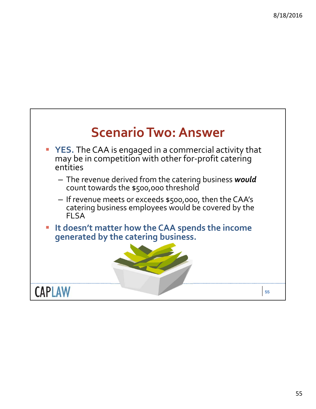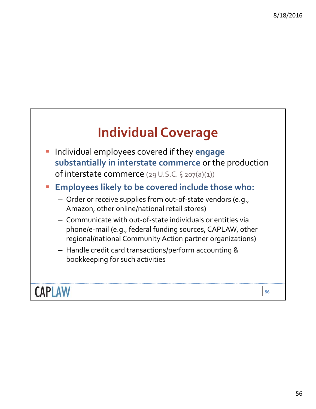### **Individual Coverage**

- Individual employees covered if they **engage substantially in interstate commerce** or the production of interstate commerce (29U.S.C. § 207(a)(1))
- **Employees likely to be covered include those who:**
	- Order or receive supplies from out‐of‐state vendors (e.g., Amazon, other online/national retail stores)
	- Communicate with out‐of‐state individuals or entities via phone/e‐mail (e.g., federal funding sources, CAPLAW, other regional/national Community Action partner organizations)
	- Handle credit card transactions/perform accounting & bookkeeping for such activities

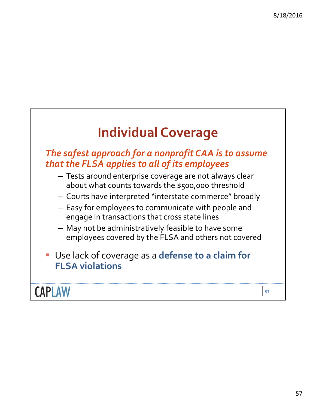### **Individual Coverage**

### *The safest approach for a nonprofit CAA is to assume that the FLSA applies to all of its employees*

- Tests around enterprise coverage are not always clear about what counts towards the \$500,000 threshold
- Courts have interpreted "interstate commerce" broadly
- Easy for employees to communicate with people and engage in transactions that cross state lines
- May not be administratively feasible to have some employees covered by the FLSA and others not covered
- Use lack of coverage as a **defense to a claim for FLSA violations**

**CAPLAW**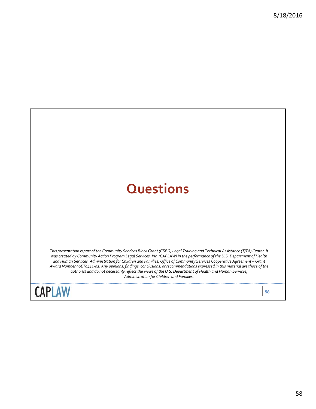